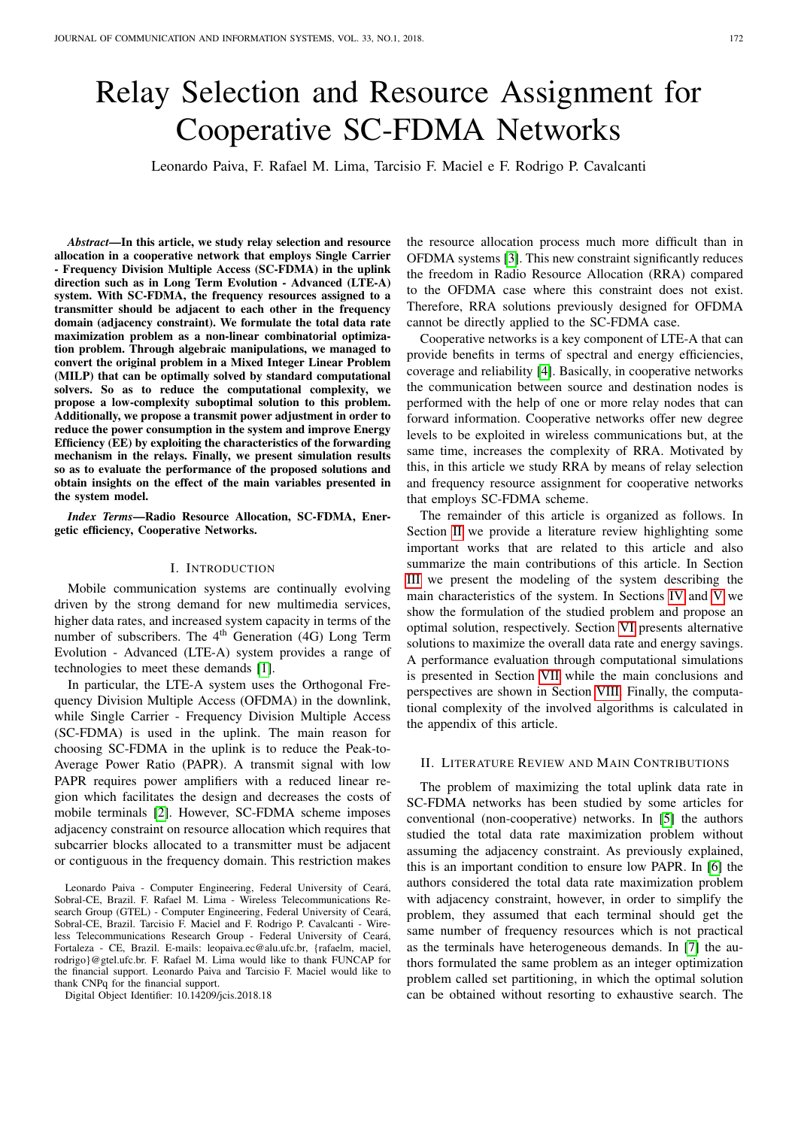# Relay Selection and Resource Assignment for Cooperative SC-FDMA Networks

Leonardo Paiva, F. Rafael M. Lima, Tarcisio F. Maciel e F. Rodrigo P. Cavalcanti

*Abstract*—In this article, we study relay selection and resource allocation in a cooperative network that employs Single Carrier - Frequency Division Multiple Access (SC-FDMA) in the uplink direction such as in Long Term Evolution - Advanced (LTE-A) system. With SC-FDMA, the frequency resources assigned to a transmitter should be adjacent to each other in the frequency domain (adjacency constraint). We formulate the total data rate maximization problem as a non-linear combinatorial optimization problem. Through algebraic manipulations, we managed to convert the original problem in a Mixed Integer Linear Problem (MILP) that can be optimally solved by standard computational solvers. So as to reduce the computational complexity, we propose a low-complexity suboptimal solution to this problem. Additionally, we propose a transmit power adjustment in order to reduce the power consumption in the system and improve Energy Efficiency (EE) by exploiting the characteristics of the forwarding mechanism in the relays. Finally, we present simulation results so as to evaluate the performance of the proposed solutions and obtain insights on the effect of the main variables presented in the system model.

*Index Terms*—Radio Resource Allocation, SC-FDMA, Energetic efficiency, Cooperative Networks.

# I. INTRODUCTION

Mobile communication systems are continually evolving driven by the strong demand for new multimedia services, higher data rates, and increased system capacity in terms of the number of subscribers. The 4<sup>th</sup> Generation (4G) Long Term Evolution - Advanced (LTE-A) system provides a range of technologies to meet these demands [\[1\]](#page-9-0).

In particular, the LTE-A system uses the Orthogonal Frequency Division Multiple Access (OFDMA) in the downlink, while Single Carrier - Frequency Division Multiple Access (SC-FDMA) is used in the uplink. The main reason for choosing SC-FDMA in the uplink is to reduce the Peak-to-Average Power Ratio (PAPR). A transmit signal with low PAPR requires power amplifiers with a reduced linear region which facilitates the design and decreases the costs of mobile terminals [\[2\]](#page-9-1). However, SC-FDMA scheme imposes adjacency constraint on resource allocation which requires that subcarrier blocks allocated to a transmitter must be adjacent or contiguous in the frequency domain. This restriction makes

Leonardo Paiva - Computer Engineering, Federal University of Ceará, Sobral-CE, Brazil. F. Rafael M. Lima - Wireless Telecommunications Research Group (GTEL) - Computer Engineering, Federal University of Ceará, Sobral-CE, Brazil. Tarcisio F. Maciel and F. Rodrigo P. Cavalcanti - Wireless Telecommunications Research Group - Federal University of Ceará, Fortaleza - CE, Brazil. E-mails: leopaiva.ec@alu.ufc.br, {rafaelm, maciel, rodrigo}@gtel.ufc.br. F. Rafael M. Lima would like to thank FUNCAP for the financial support. Leonardo Paiva and Tarcisio F. Maciel would like to thank CNPq for the financial support.

Digital Object Identifier: 10.14209/jcis.2018.18

the resource allocation process much more difficult than in OFDMA systems [\[3\]](#page-9-2). This new constraint significantly reduces the freedom in Radio Resource Allocation (RRA) compared to the OFDMA case where this constraint does not exist. Therefore, RRA solutions previously designed for OFDMA cannot be directly applied to the SC-FDMA case.

Cooperative networks is a key component of LTE-A that can provide benefits in terms of spectral and energy efficiencies, coverage and reliability [\[4\]](#page-9-3). Basically, in cooperative networks the communication between source and destination nodes is performed with the help of one or more relay nodes that can forward information. Cooperative networks offer new degree levels to be exploited in wireless communications but, at the same time, increases the complexity of RRA. Motivated by this, in this article we study RRA by means of relay selection and frequency resource assignment for cooperative networks that employs SC-FDMA scheme.

The remainder of this article is organized as follows. In Section [II](#page-0-0) we provide a literature review highlighting some important works that are related to this article and also summarize the main contributions of this article. In Section [III](#page-1-0) we present the modeling of the system describing the main characteristics of the system. In Sections [IV](#page-3-0) and [V](#page-3-1) we show the formulation of the studied problem and propose an optimal solution, respectively. Section [VI](#page-3-2) presents alternative solutions to maximize the overall data rate and energy savings. A performance evaluation through computational simulations is presented in Section [VII](#page-6-0) while the main conclusions and perspectives are shown in Section [VIII.](#page-9-4) Finally, the computational complexity of the involved algorithms is calculated in the appendix of this article.

# <span id="page-0-0"></span>II. LITERATURE REVIEW AND MAIN CONTRIBUTIONS

The problem of maximizing the total uplink data rate in SC-FDMA networks has been studied by some articles for conventional (non-cooperative) networks. In [\[5\]](#page-9-5) the authors studied the total data rate maximization problem without assuming the adjacency constraint. As previously explained, this is an important condition to ensure low PAPR. In [\[6\]](#page-10-0) the authors considered the total data rate maximization problem with adjacency constraint, however, in order to simplify the problem, they assumed that each terminal should get the same number of frequency resources which is not practical as the terminals have heterogeneous demands. In [\[7\]](#page-10-1) the authors formulated the same problem as an integer optimization problem called set partitioning, in which the optimal solution can be obtained without resorting to exhaustive search. The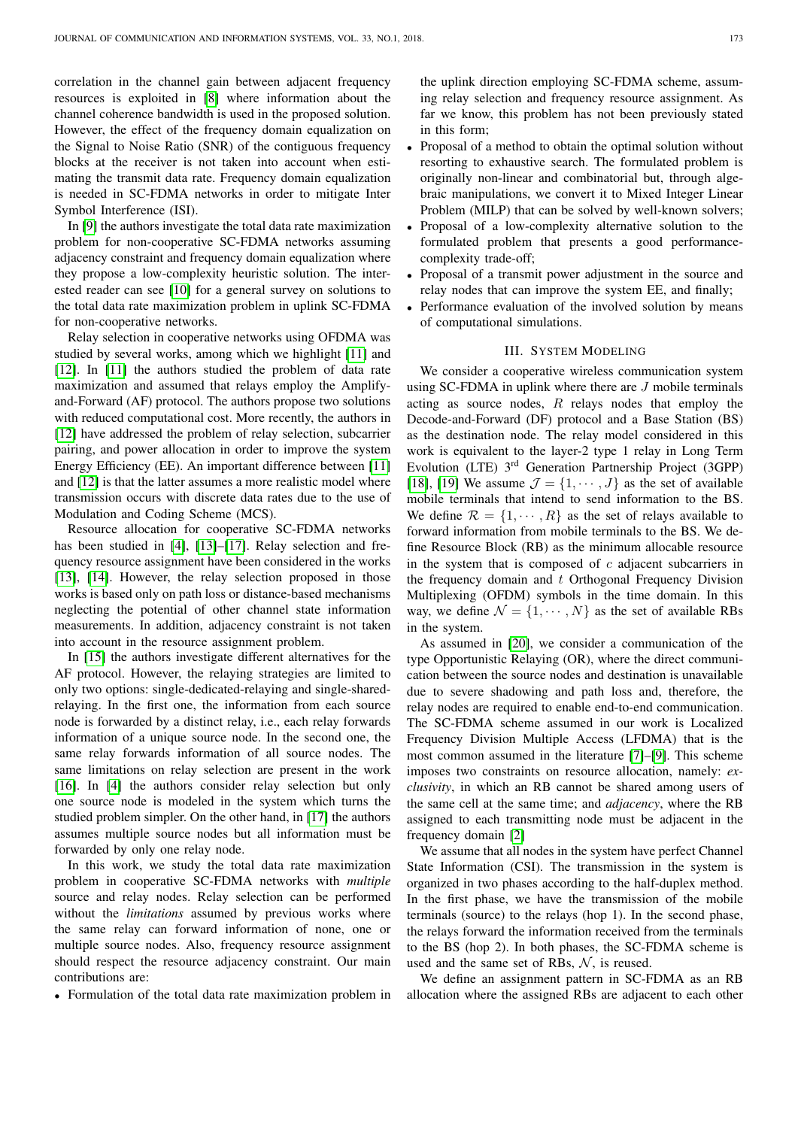correlation in the channel gain between adjacent frequency resources is exploited in [\[8\]](#page-10-2) where information about the channel coherence bandwidth is used in the proposed solution. However, the effect of the frequency domain equalization on the Signal to Noise Ratio (SNR) of the contiguous frequency blocks at the receiver is not taken into account when estimating the transmit data rate. Frequency domain equalization is needed in SC-FDMA networks in order to mitigate Inter Symbol Interference (ISI).

In [\[9\]](#page-10-3) the authors investigate the total data rate maximization problem for non-cooperative SC-FDMA networks assuming adjacency constraint and frequency domain equalization where they propose a low-complexity heuristic solution. The interested reader can see [\[10\]](#page-10-4) for a general survey on solutions to the total data rate maximization problem in uplink SC-FDMA for non-cooperative networks.

Relay selection in cooperative networks using OFDMA was studied by several works, among which we highlight [\[11\]](#page-10-5) and [\[12\]](#page-10-6). In [\[11\]](#page-10-5) the authors studied the problem of data rate maximization and assumed that relays employ the Amplifyand-Forward (AF) protocol. The authors propose two solutions with reduced computational cost. More recently, the authors in [\[12\]](#page-10-6) have addressed the problem of relay selection, subcarrier pairing, and power allocation in order to improve the system Energy Efficiency (EE). An important difference between [\[11\]](#page-10-5) and [\[12\]](#page-10-6) is that the latter assumes a more realistic model where transmission occurs with discrete data rates due to the use of Modulation and Coding Scheme (MCS).

Resource allocation for cooperative SC-FDMA networks has been studied in [\[4\]](#page-9-3), [\[13\]](#page-10-7)–[\[17\]](#page-10-8). Relay selection and frequency resource assignment have been considered in the works [\[13\]](#page-10-7), [\[14\]](#page-10-9). However, the relay selection proposed in those works is based only on path loss or distance-based mechanisms neglecting the potential of other channel state information measurements. In addition, adjacency constraint is not taken into account in the resource assignment problem.

In [\[15\]](#page-10-10) the authors investigate different alternatives for the AF protocol. However, the relaying strategies are limited to only two options: single-dedicated-relaying and single-sharedrelaying. In the first one, the information from each source node is forwarded by a distinct relay, i.e., each relay forwards information of a unique source node. In the second one, the same relay forwards information of all source nodes. The same limitations on relay selection are present in the work [\[16\]](#page-10-11). In [\[4\]](#page-9-3) the authors consider relay selection but only one source node is modeled in the system which turns the studied problem simpler. On the other hand, in [\[17\]](#page-10-8) the authors assumes multiple source nodes but all information must be forwarded by only one relay node.

In this work, we study the total data rate maximization problem in cooperative SC-FDMA networks with *multiple* source and relay nodes. Relay selection can be performed without the *limitations* assumed by previous works where the same relay can forward information of none, one or multiple source nodes. Also, frequency resource assignment should respect the resource adjacency constraint. Our main contributions are:

• Formulation of the total data rate maximization problem in

the uplink direction employing SC-FDMA scheme, assuming relay selection and frequency resource assignment. As far we know, this problem has not been previously stated in this form;

- Proposal of a method to obtain the optimal solution without resorting to exhaustive search. The formulated problem is originally non-linear and combinatorial but, through algebraic manipulations, we convert it to Mixed Integer Linear Problem (MILP) that can be solved by well-known solvers;
- Proposal of a low-complexity alternative solution to the formulated problem that presents a good performancecomplexity trade-off;
- Proposal of a transmit power adjustment in the source and relay nodes that can improve the system EE, and finally;
- Performance evaluation of the involved solution by means of computational simulations.

#### III. SYSTEM MODELING

<span id="page-1-0"></span>We consider a cooperative wireless communication system using SC-FDMA in uplink where there are  $J$  mobile terminals acting as source nodes,  $R$  relays nodes that employ the Decode-and-Forward (DF) protocol and a Base Station (BS) as the destination node. The relay model considered in this work is equivalent to the layer-2 type 1 relay in Long Term Evolution (LTE) 3rd Generation Partnership Project (3GPP) [\[18\]](#page-10-12), [\[19\]](#page-10-13) We assume  $\mathcal{J} = \{1, \dots, J\}$  as the set of available mobile terminals that intend to send information to the BS. We define  $\mathcal{R} = \{1, \dots, R\}$  as the set of relays available to forward information from mobile terminals to the BS. We define Resource Block (RB) as the minimum allocable resource in the system that is composed of  $c$  adjacent subcarriers in the frequency domain and  $t$  Orthogonal Frequency Division Multiplexing (OFDM) symbols in the time domain. In this way, we define  $\mathcal{N} = \{1, \cdots, N\}$  as the set of available RBs in the system.

As assumed in [\[20\]](#page-10-14), we consider a communication of the type Opportunistic Relaying (OR), where the direct communication between the source nodes and destination is unavailable due to severe shadowing and path loss and, therefore, the relay nodes are required to enable end-to-end communication. The SC-FDMA scheme assumed in our work is Localized Frequency Division Multiple Access (LFDMA) that is the most common assumed in the literature [\[7\]](#page-10-1)–[\[9\]](#page-10-3). This scheme imposes two constraints on resource allocation, namely: *exclusivity*, in which an RB cannot be shared among users of the same cell at the same time; and *adjacency*, where the RB assigned to each transmitting node must be adjacent in the frequency domain [\[2\]](#page-9-1)

We assume that all nodes in the system have perfect Channel State Information (CSI). The transmission in the system is organized in two phases according to the half-duplex method. In the first phase, we have the transmission of the mobile terminals (source) to the relays (hop 1). In the second phase, the relays forward the information received from the terminals to the BS (hop 2). In both phases, the SC-FDMA scheme is used and the same set of RBs,  $N$ , is reused.

We define an assignment pattern in SC-FDMA as an RB allocation where the assigned RBs are adjacent to each other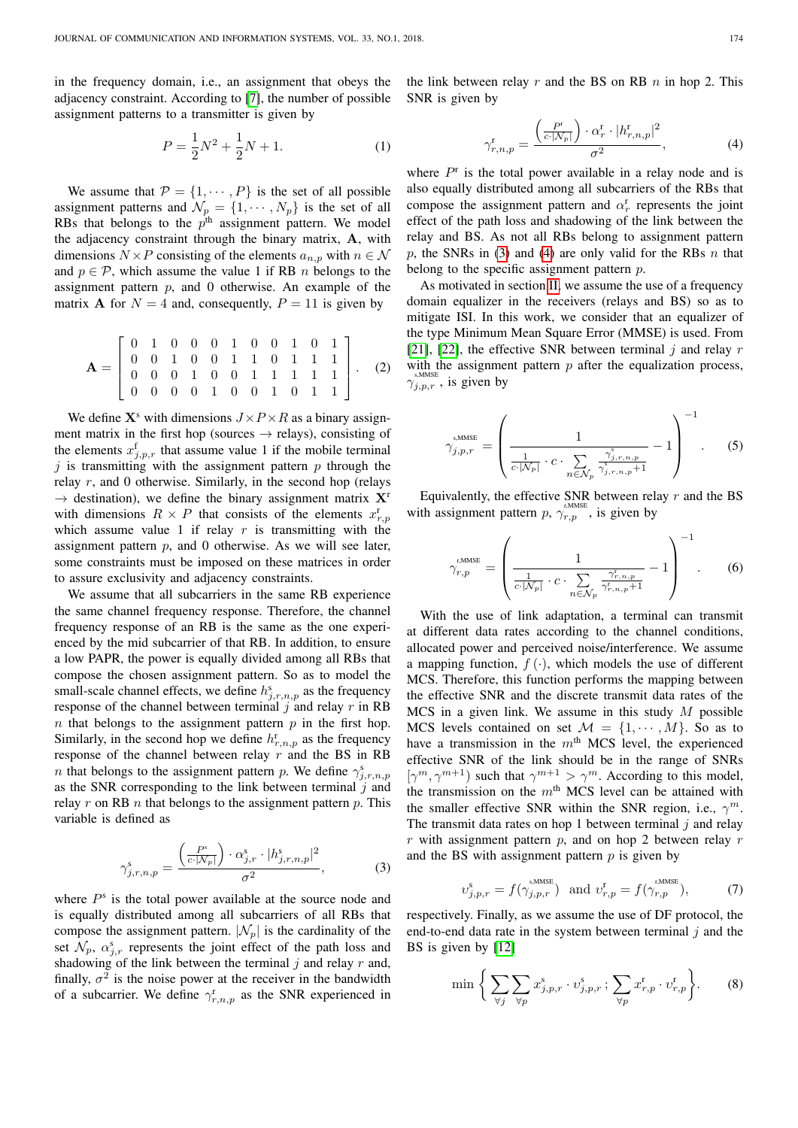in the frequency domain, i.e., an assignment that obeys the adjacency constraint. According to [\[7\]](#page-10-1), the number of possible assignment patterns to a transmitter is given by

$$
P = \frac{1}{2}N^2 + \frac{1}{2}N + 1.
$$
 (1)

We assume that  $P = \{1, \dots, P\}$  is the set of all possible assignment patterns and  $\mathcal{N}_p = \{1, \cdots, N_p\}$  is the set of all RBs that belongs to the  $p<sup>th</sup>$  assignment pattern. We model the adjacency constraint through the binary matrix, A, with dimensions  $N \times P$  consisting of the elements  $a_{n,p}$  with  $n \in \mathcal{N}$ and  $p \in \mathcal{P}$ , which assume the value 1 if RB *n* belongs to the assignment pattern  $p$ , and 0 otherwise. An example of the matrix **A** for  $N = 4$  and, consequently,  $P = 11$  is given by

<span id="page-2-2"></span>
$$
\mathbf{A} = \begin{bmatrix} 0 & 1 & 0 & 0 & 0 & 1 & 0 & 0 & 1 & 0 & 1 \\ 0 & 0 & 1 & 0 & 0 & 1 & 1 & 0 & 1 & 1 & 1 \\ 0 & 0 & 0 & 1 & 0 & 0 & 1 & 1 & 1 & 1 & 1 \\ 0 & 0 & 0 & 0 & 1 & 0 & 0 & 1 & 0 & 1 & 1 \end{bmatrix} . \tag{2}
$$

We define  $X^s$  with dimensions  $J \times P \times R$  as a binary assignment matrix in the first hop (sources  $\rightarrow$  relays), consisting of the elements  $x_{j,p,r}^f$  that assume value 1 if the mobile terminal j is transmitting with the assignment pattern  $p$  through the relay  $r$ , and 0 otherwise. Similarly, in the second hop (relays  $\rightarrow$  destination), we define the binary assignment matrix  $X^r$ with dimensions  $R \times P$  that consists of the elements  $x_{r,p}^{\text{r}}$ which assume value 1 if relay  $r$  is transmitting with the assignment pattern  $p$ , and 0 otherwise. As we will see later, some constraints must be imposed on these matrices in order to assure exclusivity and adjacency constraints.

We assume that all subcarriers in the same RB experience the same channel frequency response. Therefore, the channel frequency response of an RB is the same as the one experienced by the mid subcarrier of that RB. In addition, to ensure a low PAPR, the power is equally divided among all RBs that compose the chosen assignment pattern. So as to model the small-scale channel effects, we define  $h_{j,r,n,p}^s$  as the frequency response of the channel between terminal  $j$  and relay  $r$  in RB  $n$  that belongs to the assignment pattern  $p$  in the first hop. Similarly, in the second hop we define  $h_{r,n,p}^r$  as the frequency response of the channel between relay  $r$  and the BS in RB *n* that belongs to the assignment pattern *p*. We define  $\gamma_{j,r,n,p}^s$ as the SNR corresponding to the link between terminal  $j$  and relay r on RB  $n$  that belongs to the assignment pattern  $p$ . This variable is defined as

<span id="page-2-0"></span>
$$
\gamma_{j,r,n,p}^s = \frac{\left(\frac{P^s}{c\cdot |N_p|}\right) \cdot \alpha_{j,r}^s \cdot |h_{j,r,n,p}^s|^2}{\sigma^2},\tag{3}
$$

where  $P^s$  is the total power available at the source node and is equally distributed among all subcarriers of all RBs that compose the assignment pattern.  $|\mathcal{N}_p|$  is the cardinality of the set  $\mathcal{N}_p$ ,  $\alpha_{j,r}^s$  represents the joint effect of the path loss and shadowing of the link between the terminal  $j$  and relay  $r$  and, finally,  $\sigma^2$  is the noise power at the receiver in the bandwidth of a subcarrier. We define  $\gamma_{r,n,p}^{\rm r}$  as the SNR experienced in the link between relay  $r$  and the BS on RB  $n$  in hop 2. This SNR is given by

<span id="page-2-1"></span>
$$
\gamma_{r,n,p}^{\mathrm{r}} = \frac{\left(\frac{P^{\mathrm{r}}}{c\cdot|N_p|}\right) \cdot \alpha_r^{\mathrm{r}} \cdot |h_{r,n,p}^{\mathrm{r}}|^2}{\sigma^2},\tag{4}
$$

where  $P^r$  is the total power available in a relay node and is also equally distributed among all subcarriers of the RBs that compose the assignment pattern and  $\alpha_r^r$  represents the joint effect of the path loss and shadowing of the link between the relay and BS. As not all RBs belong to assignment pattern p, the SNRs in [\(3\)](#page-2-0) and [\(4\)](#page-2-1) are only valid for the RBs  $n$  that belong to the specific assignment pattern  $p$ .

As motivated in section [II,](#page-0-0) we assume the use of a frequency domain equalizer in the receivers (relays and BS) so as to mitigate ISI. In this work, we consider that an equalizer of the type Minimum Mean Square Error (MMSE) is used. From [\[21\]](#page-10-15), [\[22\]](#page-10-16), the effective SNR between terminal  $i$  and relay r with the assignment pattern  $p$  after the equalization process,  $\gamma_{j,p,r}^{\text{s,MMSE}}$ , is given by

$$
\gamma_{j,p,r}^{\text{sMMSE}} = \left(\frac{1}{\frac{1}{c \cdot |N_p|} \cdot c \cdot \sum_{n \in \mathcal{N}_p} \frac{\gamma_{j,r,n,p}^{\text{s}}}{\gamma_{j,r,n,p}^{\text{s}} + 1}} - 1\right)^{-1}.
$$
 (5)

Equivalently, the effective SNR between relay  $r$  and the BS with assignment pattern p,  $\gamma_{r,p}^{\text{r,MMSE}}$ , is given by

$$
\gamma_{r,p}^{\text{r,MMSE}} = \left( \frac{1}{\frac{1}{c \cdot |N_p|} \cdot c \cdot \sum_{n \in \mathcal{N}_p} \frac{\gamma_{r,n,p}^r}{\gamma_{r,n,p}^t + 1}} - 1 \right)^{-1}.
$$
 (6)

With the use of link adaptation, a terminal can transmit at different data rates according to the channel conditions, allocated power and perceived noise/interference. We assume a mapping function,  $f(\cdot)$ , which models the use of different MCS. Therefore, this function performs the mapping between the effective SNR and the discrete transmit data rates of the MCS in a given link. We assume in this study  $M$  possible MCS levels contained on set  $\mathcal{M} = \{1, \dots, M\}$ . So as to have a transmission in the  $m<sup>th</sup>$  MCS level, the experienced effective SNR of the link should be in the range of SNRs  $[\gamma^m, \gamma^{m+1})$  such that  $\gamma^{m+1} > \gamma^m$ . According to this model, the transmission on the  $m<sup>th</sup>$  MCS level can be attained with the smaller effective SNR within the SNR region, i.e.,  $\gamma^m$ . The transmit data rates on hop 1 between terminal  $j$  and relay  $r$  with assignment pattern  $p$ , and on hop 2 between relay  $r$ and the BS with assignment pattern  $p$  is given by

$$
v_{j,p,r}^{\mathrm{s}} = f(\gamma_{j,p,r}^{\mathrm{s,MMSE}}) \text{ and } v_{r,p}^{\mathrm{r}} = f(\gamma_{r,p}^{\mathrm{r,MMSE}}), \tag{7}
$$

respectively. Finally, as we assume the use of DF protocol, the end-to-end data rate in the system between terminal  $j$  and the BS is given by [\[12\]](#page-10-6)

$$
\min \bigg\{ \sum_{\forall j} \sum_{\forall p} x_{j, p, r}^s \cdot v_{j, p, r}^s ; \sum_{\forall p} x_{r, p}^r \cdot v_{r, p}^r \bigg\}.
$$
 (8)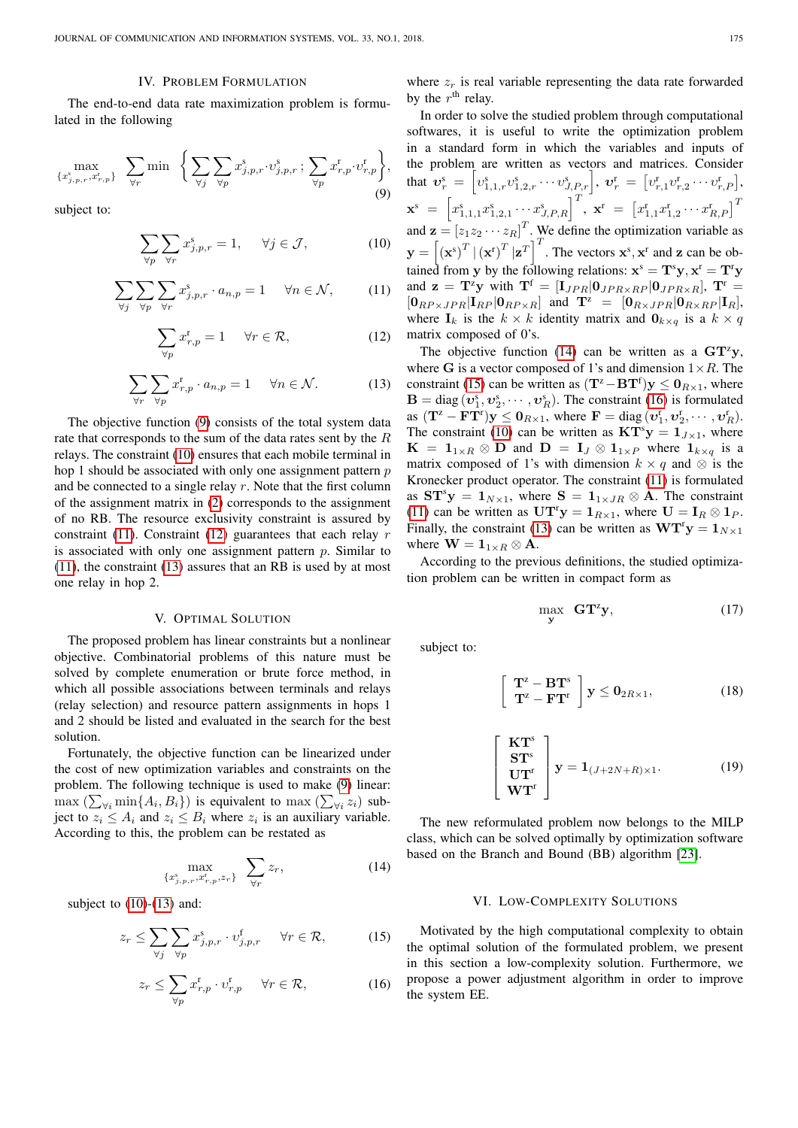## IV. PROBLEM FORMULATION

<span id="page-3-0"></span>The end-to-end data rate maximization problem is formulated in the following

<span id="page-3-3"></span>
$$
\max_{\{x_{j,p,r}^{\rm s}, x_{r,p}^{\rm r}\}} \sum_{\forall r} \min \left\{ \sum_{\forall j} \sum_{\forall p} x_{j,p,r}^{\rm s} \cdot v_{j,p,r}^{\rm s} \; ; \; \sum_{\forall p} x_{r,p}^{\rm r} \cdot v_{r,p}^{\rm r} \right\},\tag{9}
$$

subject to:

<span id="page-3-4"></span>
$$
\sum_{\forall p} \sum_{\forall r} x_{j,p,r}^s = 1, \quad \forall j \in \mathcal{J}, \tag{10}
$$

<span id="page-3-5"></span>
$$
\sum_{\forall j} \sum_{\forall p} \sum_{\forall r} x_{j, p, r}^{s} \cdot a_{n, p} = 1 \quad \forall n \in \mathcal{N}, \tag{11}
$$

<span id="page-3-6"></span>
$$
\sum_{\forall p} x_{r,p}^r = 1 \quad \forall r \in \mathcal{R}, \tag{12}
$$

<span id="page-3-7"></span>
$$
\sum_{\forall r} \sum_{\forall p} x_{r,p}^r \cdot a_{n,p} = 1 \quad \forall n \in \mathcal{N}.
$$
 (13)

The objective function [\(9\)](#page-3-3) consists of the total system data rate that corresponds to the sum of the data rates sent by the R relays. The constraint [\(10\)](#page-3-4) ensures that each mobile terminal in hop 1 should be associated with only one assignment pattern  $p$ and be connected to a single relay  $r$ . Note that the first column of the assignment matrix in [\(2\)](#page-2-2) corresponds to the assignment of no RB. The resource exclusivity constraint is assured by constraint [\(11\)](#page-3-5). Constraint [\(12\)](#page-3-6) guarantees that each relay  $r$ is associated with only one assignment pattern  $p$ . Similar to [\(11\)](#page-3-5), the constraint [\(13\)](#page-3-7) assures that an RB is used by at most one relay in hop 2.

#### V. OPTIMAL SOLUTION

<span id="page-3-1"></span>The proposed problem has linear constraints but a nonlinear objective. Combinatorial problems of this nature must be solved by complete enumeration or brute force method, in which all possible associations between terminals and relays (relay selection) and resource pattern assignments in hops 1 and 2 should be listed and evaluated in the search for the best solution.

Fortunately, the objective function can be linearized under the cost of new optimization variables and constraints on the problem. The following technique is used to make [\(9\)](#page-3-3) linear:  $\max(\sum_{\forall i} \min\{A_i, B_i\})$  is equivalent to  $\max(\sum_{\forall i} z_i)$  subject to  $z_i \leq A_i$  and  $z_i \leq B_i$  where  $z_i$  is an auxiliary variable. According to this, the problem can be restated as

<span id="page-3-8"></span>
$$
\max_{\{x_{j,p,r}^s, x_{r,p}^r, z_r\}} \sum_{\forall r} z_r,\tag{14}
$$

subject to  $(10)-(13)$  $(10)-(13)$  $(10)-(13)$  and:

<span id="page-3-9"></span>
$$
z_r \le \sum_{\forall j} \sum_{\forall p} x^s_{j,p,r} \cdot v^f_{j,p,r} \quad \forall r \in \mathcal{R},\tag{15}
$$

<span id="page-3-10"></span>
$$
z_r \le \sum_{\forall p} x_{r,p}^{\mathrm{r}} \cdot v_{r,p}^{\mathrm{r}} \quad \forall r \in \mathcal{R},\tag{16}
$$

where  $z_r$  is real variable representing the data rate forwarded by the  $r<sup>th</sup>$  relay.

In order to solve the studied problem through computational softwares, it is useful to write the optimization problem in a standard form in which the variables and inputs of the problem are written as vectors and matrices. Consider that  $\bm{v}_r^{\rm s}\ =\ \left[v_{1,1,r}^{\rm s}v_{1,2,r}^{\rm s}\cdots v_{J,P,r}^{\rm s}\right],\ \bm{v}_r^{\rm r}\ =\ \left[v_{r,1}^{\rm r}v_{r,2}^{\rm r}\cdots v_{r,P}^{\rm r}\right],$  $\mathbf{x}^{\text{s}} \; = \; \left[ x^{\text{s}}_{1,1,1} x^{\text{s}}_{1,2,1} \cdots x^{\text{s}}_{J,P,R} \right]^T \hspace{0.5mm}, \; \mathbf{x}^{\text{r}} \; = \; \left[ x^{\text{r}}_{1,1} x^{\text{r}}_{1,2} \cdots x^{\text{r}}_{R,P} \right]^T$ and  $\mathbf{z} = [z_1 z_2 \cdots z_R]^T$ . We define the optimization variable as  $\mathbf{y} = \left[ (\mathbf{x}^s)^T \left| (\mathbf{x}^r)^T \mathbf{z}^T \right|^T$ . The vectors  $\mathbf{x}^s, \mathbf{x}^r$  and z can be obtained from y by the following relations:  $\mathbf{x}^s = \mathbf{T}^s \mathbf{y}, \mathbf{x}^r = \mathbf{T}^r \mathbf{y}$ and  $z = T^z y$  with  $T^f = [I_{JPR} | 0_{JPR \times RP} | 0_{JPR \times R}]$ ,  $T^r =$  $[0_{RP\times JPR}|\mathbf{I}_{RP}|\mathbf{0}_{RP\times R}]$  and  $\mathbf{T}^z = [0_{R\times JPR}|\mathbf{0}_{R\times RP}|\mathbf{I}_R]$ , where  $I_k$  is the  $k \times k$  identity matrix and  $\mathbf{0}_{k \times q}$  is a  $k \times q$ matrix composed of 0's.

The objective function [\(14\)](#page-3-8) can be written as a  $GT^z y$ , where G is a vector composed of 1's and dimension  $1 \times R$ . The constraint [\(15\)](#page-3-9) can be written as  $(T^z - BT^f)y \leq 0_{R \times 1}$ , where  $\mathbf{B} = \text{diag}(v_1^s, v_2^s, \dots, v_R^s)$ . The constraint [\(16\)](#page-3-10) is formulated as  $(\mathbf{T}^{\mathbf{z}} - \mathbf{F} \mathbf{T}^{\mathbf{r}}) \mathbf{y} \leq \mathbf{0}_{R \times 1}$ , where  $\mathbf{F} = \text{diag}(\mathbf{v}_1^{\mathbf{r}}, \mathbf{v}_2^{\mathbf{r}}, \cdots, \mathbf{v}_R^{\mathbf{r}})$ . The constraint [\(10\)](#page-3-4) can be written as  $KT^{s}y = 1_{J \times 1}$ , where  $K = 1_{1 \times R} \otimes D$  and  $D = I_J \otimes 1_{1 \times P}$  where  $1_{k \times q}$  is a matrix composed of 1's with dimension  $k \times q$  and  $\otimes$  is the Kronecker product operator. The constraint [\(11\)](#page-3-5) is formulated as  $ST^s y = 1_{N \times 1}$ , where  $S = 1_{1 \times JR} \otimes A$ . The constraint [\(11\)](#page-3-5) can be written as  $UT^r y = 1_{R \times 1}$ , where  $U = I_R \otimes 1_P$ . Finally, the constraint [\(13\)](#page-3-7) can be written as  $\mathbf{W}\mathbf{T}^{\mathsf{T}}\mathbf{y} = \mathbf{1}_{N\times 1}$ where  $\mathbf{W} = \mathbf{1}_{1 \times R} \otimes \mathbf{A}$ .

According to the previous definitions, the studied optimization problem can be written in compact form as

$$
\max_{\mathbf{y}} \ \mathbf{GT}^{\mathbf{z}} \mathbf{y},\tag{17}
$$

subject to:

 $\sqrt{ }$ 

$$
\left.\begin{array}{c}\n\mathbf{T}^{\mathrm{z}}-\mathbf{B}\mathbf{T}^{\mathrm{s}} \\
\mathbf{T}^{\mathrm{z}}-\mathbf{F}\mathbf{T}^{\mathrm{r}}\n\end{array}\right]\mathbf{y}\leq\mathbf{0}_{2R\times1},\tag{18}
$$

$$
\begin{bmatrix}\n\mathbf{KT}^s \\
\mathbf{ST}^s \\
\mathbf{UT}^r \\
\mathbf{WT}^r\n\end{bmatrix}\n\mathbf{y} = \mathbf{1}_{(J+2N+R)\times 1}.
$$
\n(19)

The new reformulated problem now belongs to the MILP class, which can be solved optimally by optimization software based on the Branch and Bound (BB) algorithm [\[23\]](#page-10-17).

## VI. LOW-COMPLEXITY SOLUTIONS

<span id="page-3-2"></span>Motivated by the high computational complexity to obtain the optimal solution of the formulated problem, we present in this section a low-complexity solution. Furthermore, we propose a power adjustment algorithm in order to improve the system EE.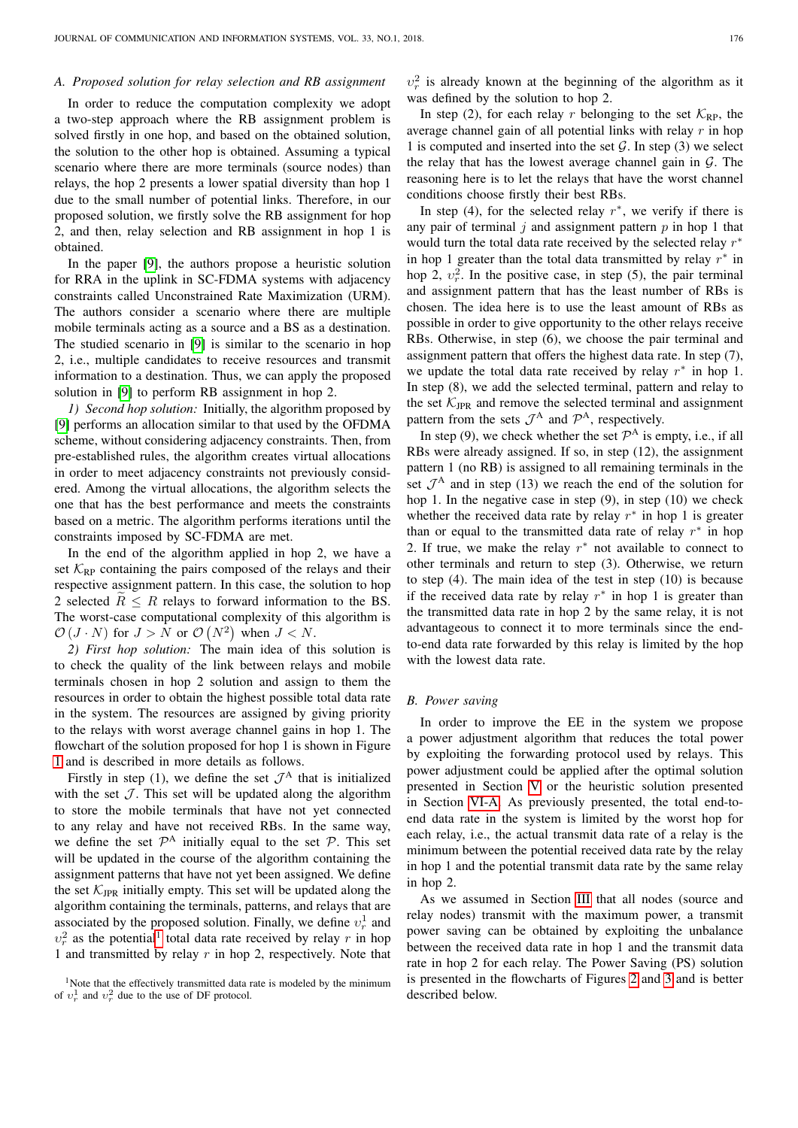# <span id="page-4-1"></span>*A. Proposed solution for relay selection and RB assignment*

In order to reduce the computation complexity we adopt a two-step approach where the RB assignment problem is solved firstly in one hop, and based on the obtained solution, the solution to the other hop is obtained. Assuming a typical scenario where there are more terminals (source nodes) than relays, the hop 2 presents a lower spatial diversity than hop 1 due to the small number of potential links. Therefore, in our proposed solution, we firstly solve the RB assignment for hop 2, and then, relay selection and RB assignment in hop 1 is obtained.

In the paper [\[9\]](#page-10-3), the authors propose a heuristic solution for RRA in the uplink in SC-FDMA systems with adjacency constraints called Unconstrained Rate Maximization (URM). The authors consider a scenario where there are multiple mobile terminals acting as a source and a BS as a destination. The studied scenario in [\[9\]](#page-10-3) is similar to the scenario in hop 2, i.e., multiple candidates to receive resources and transmit information to a destination. Thus, we can apply the proposed solution in [\[9\]](#page-10-3) to perform RB assignment in hop 2.

*1) Second hop solution:* Initially, the algorithm proposed by [\[9\]](#page-10-3) performs an allocation similar to that used by the OFDMA scheme, without considering adjacency constraints. Then, from pre-established rules, the algorithm creates virtual allocations in order to meet adjacency constraints not previously considered. Among the virtual allocations, the algorithm selects the one that has the best performance and meets the constraints based on a metric. The algorithm performs iterations until the constraints imposed by SC-FDMA are met.

In the end of the algorithm applied in hop 2, we have a set  $K_{RP}$  containing the pairs composed of the relays and their respective assignment pattern. In this case, the solution to hop 2 selected  $R \leq R$  relays to forward information to the BS. The worst-case computational complexity of this algorithm is  $\mathcal{O}(J \cdot N)$  for  $J > N$  or  $\mathcal{O}(N^2)$  when  $J < N$ .

*2) First hop solution:* The main idea of this solution is to check the quality of the link between relays and mobile terminals chosen in hop 2 solution and assign to them the resources in order to obtain the highest possible total data rate in the system. The resources are assigned by giving priority to the relays with worst average channel gains in hop 1. The flowchart of the solution proposed for hop 1 is shown in Figure [1](#page-5-0) and is described in more details as follows.

Firstly in step (1), we define the set  $\mathcal{J}^A$  that is initialized with the set  $J$ . This set will be updated along the algorithm to store the mobile terminals that have not yet connected to any relay and have not received RBs. In the same way, we define the set  $\mathcal{P}^A$  initially equal to the set  $\mathcal{P}$ . This set will be updated in the course of the algorithm containing the assignment patterns that have not yet been assigned. We define the set  $\mathcal{K}_{IPR}$  initially empty. This set will be updated along the algorithm containing the terminals, patterns, and relays that are associated by the proposed solution. Finally, we define  $v_r^1$  and  $v_r^2$  as the potential<sup>[1](#page-4-0)</sup> total data rate received by relay r in hop 1 and transmitted by relay r in hop 2, respectively. Note that  $v_r^2$  is already known at the beginning of the algorithm as it was defined by the solution to hop 2.

In step (2), for each relay r belonging to the set  $\mathcal{K}_{\text{RP}}$ , the average channel gain of all potential links with relay  $r$  in hop 1 is computed and inserted into the set  $G$ . In step (3) we select the relay that has the lowest average channel gain in  $G$ . The reasoning here is to let the relays that have the worst channel conditions choose firstly their best RBs.

In step (4), for the selected relay  $r^*$ , we verify if there is any pair of terminal  $j$  and assignment pattern  $p$  in hop 1 that would turn the total data rate received by the selected relay  $r^*$ in hop 1 greater than the total data transmitted by relay  $r^*$  in hop 2,  $v_r^2$ . In the positive case, in step (5), the pair terminal and assignment pattern that has the least number of RBs is chosen. The idea here is to use the least amount of RBs as possible in order to give opportunity to the other relays receive RBs. Otherwise, in step (6), we choose the pair terminal and assignment pattern that offers the highest data rate. In step (7), we update the total data rate received by relay  $r^*$  in hop 1. In step (8), we add the selected terminal, pattern and relay to the set  $K_{JPR}$  and remove the selected terminal and assignment pattern from the sets  $\mathcal{J}^A$  and  $\mathcal{P}^A$ , respectively.

In step (9), we check whether the set  $\mathcal{P}^{A}$  is empty, i.e., if all RBs were already assigned. If so, in step (12), the assignment pattern 1 (no RB) is assigned to all remaining terminals in the set  $\mathcal{J}^A$  and in step (13) we reach the end of the solution for hop 1. In the negative case in step (9), in step (10) we check whether the received data rate by relay  $r^*$  in hop 1 is greater than or equal to the transmitted data rate of relay  $r^*$  in hop 2. If true, we make the relay  $r^*$  not available to connect to other terminals and return to step (3). Otherwise, we return to step (4). The main idea of the test in step (10) is because if the received data rate by relay  $r^*$  in hop 1 is greater than the transmitted data rate in hop 2 by the same relay, it is not advantageous to connect it to more terminals since the endto-end data rate forwarded by this relay is limited by the hop with the lowest data rate.

#### <span id="page-4-2"></span>*B. Power saving*

In order to improve the EE in the system we propose a power adjustment algorithm that reduces the total power by exploiting the forwarding protocol used by relays. This power adjustment could be applied after the optimal solution presented in Section [V](#page-3-1) or the heuristic solution presented in Section [VI-A.](#page-4-1) As previously presented, the total end-toend data rate in the system is limited by the worst hop for each relay, i.e., the actual transmit data rate of a relay is the minimum between the potential received data rate by the relay in hop 1 and the potential transmit data rate by the same relay in hop 2.

As we assumed in Section [III](#page-1-0) that all nodes (source and relay nodes) transmit with the maximum power, a transmit power saving can be obtained by exploiting the unbalance between the received data rate in hop 1 and the transmit data rate in hop 2 for each relay. The Power Saving (PS) solution is presented in the flowcharts of Figures [2](#page-6-1) and [3](#page-6-2) and is better described below.

<span id="page-4-0"></span><sup>&</sup>lt;sup>1</sup>Note that the effectively transmitted data rate is modeled by the minimum of  $v_r^1$  and  $v_r^2$  due to the use of DF protocol.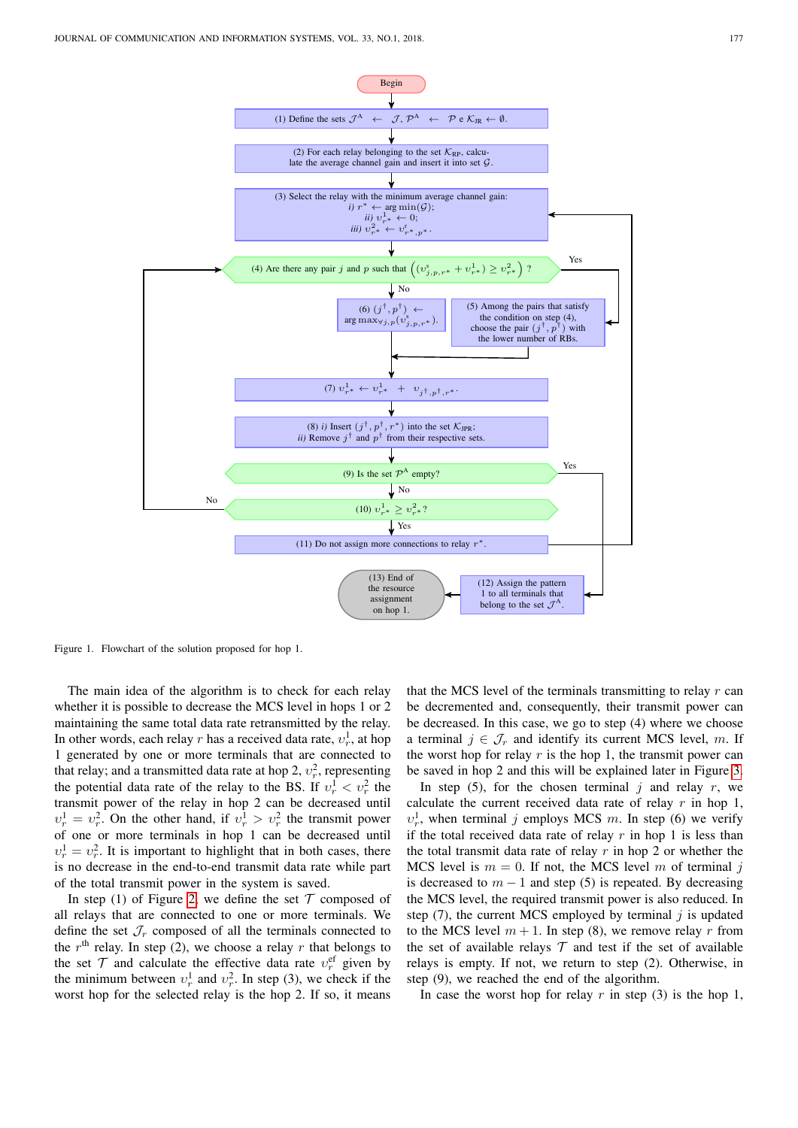

(13) End of the resource assignment on hop 1.

<span id="page-5-0"></span>Figure 1. Flowchart of the solution proposed for hop 1.

No

The main idea of the algorithm is to check for each relay whether it is possible to decrease the MCS level in hops 1 or 2 maintaining the same total data rate retransmitted by the relay. In other words, each relay r has a received data rate,  $v_r^1$ , at hop 1 generated by one or more terminals that are connected to that relay; and a transmitted data rate at hop 2,  $v_r^2$ , representing the potential data rate of the relay to the BS. If  $v_r^1 < v_r^2$  the transmit power of the relay in hop 2 can be decreased until  $v_r^1 = v_r^2$ . On the other hand, if  $v_r^1 > v_r^2$  the transmit power of one or more terminals in hop 1 can be decreased until  $v_r^1 = v_r^2$ . It is important to highlight that in both cases, there is no decrease in the end-to-end transmit data rate while part of the total transmit power in the system is saved.

In step (1) of Figure [2,](#page-6-1) we define the set  $\mathcal T$  composed of all relays that are connected to one or more terminals. We define the set  $\mathcal{J}_r$  composed of all the terminals connected to the  $r<sup>th</sup>$  relay. In step (2), we choose a relay r that belongs to the set  $\mathcal T$  and calculate the effective data rate  $v_r^{\text{ef}}$  given by the minimum between  $v_r^1$  and  $v_r^2$ . In step (3), we check if the worst hop for the selected relay is the hop 2. If so, it means

that the MCS level of the terminals transmitting to relay  $r$  can be decremented and, consequently, their transmit power can be decreased. In this case, we go to step (4) where we choose a terminal  $j \in \mathcal{J}_r$  and identify its current MCS level, m. If the worst hop for relay  $r$  is the hop 1, the transmit power can be saved in hop 2 and this will be explained later in Figure [3.](#page-6-2)

(12) Assign the pattern 1 to all terminals that belong to the set  $\mathcal{J}^A$ .

In step (5), for the chosen terminal  $j$  and relay  $r$ , we calculate the current received data rate of relay  $r$  in hop 1,  $v_r^1$ , when terminal j employs MCS m. In step (6) we verify if the total received data rate of relay  $r$  in hop 1 is less than the total transmit data rate of relay  $r$  in hop 2 or whether the MCS level is  $m = 0$ . If not, the MCS level m of terminal j is decreased to  $m - 1$  and step (5) is repeated. By decreasing the MCS level, the required transmit power is also reduced. In step  $(7)$ , the current MCS employed by terminal j is updated to the MCS level  $m + 1$ . In step (8), we remove relay r from the set of available relays  $\mathcal T$  and test if the set of available relays is empty. If not, we return to step (2). Otherwise, in step (9), we reached the end of the algorithm.

In case the worst hop for relay r in step  $(3)$  is the hop 1,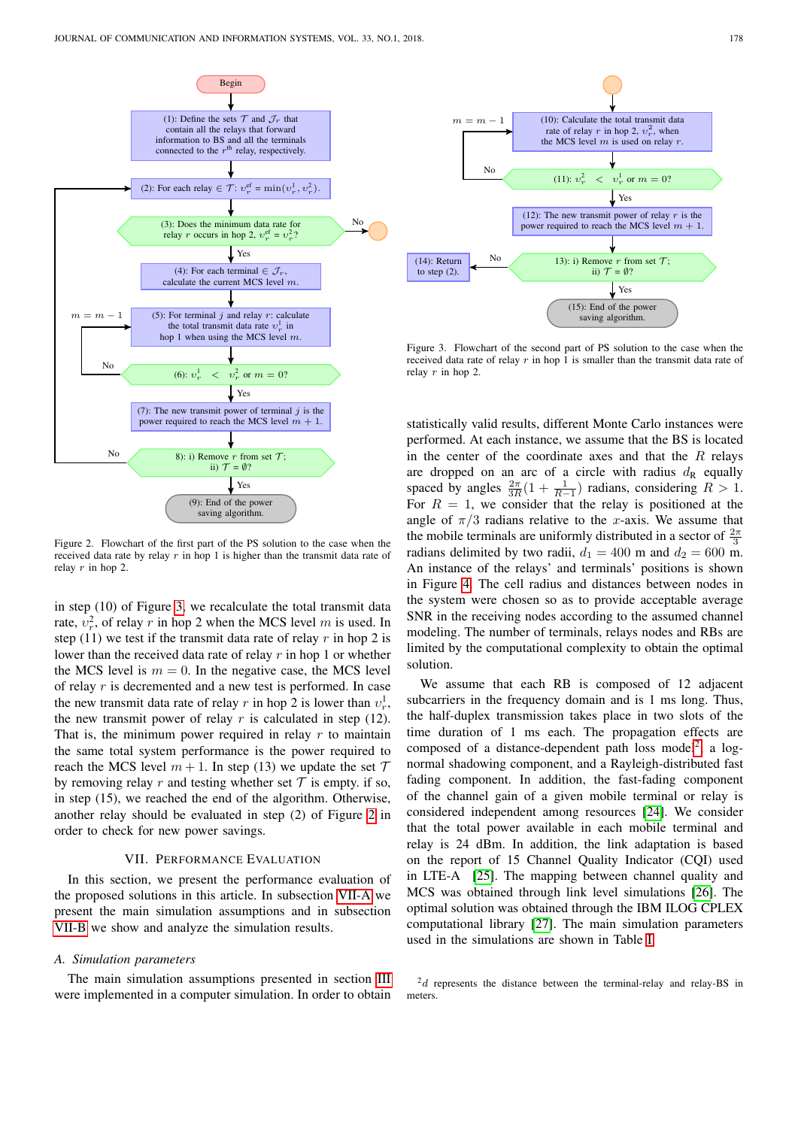

<span id="page-6-1"></span>Figure 2. Flowchart of the first part of the PS solution to the case when the received data rate by relay  $r$  in hop 1 is higher than the transmit data rate of relay  $r$  in hop 2.

in step (10) of Figure [3,](#page-6-2) we recalculate the total transmit data rate,  $v_r^2$ , of relay r in hop 2 when the MCS level m is used. In step (11) we test if the transmit data rate of relay r in hop 2 is lower than the received data rate of relay  $r$  in hop 1 or whether the MCS level is  $m = 0$ . In the negative case, the MCS level of relay r is decremented and a new test is performed. In case the new transmit data rate of relay r in hop 2 is lower than  $v_r^1$ , the new transmit power of relay  $r$  is calculated in step (12). That is, the minimum power required in relay  $r$  to maintain the same total system performance is the power required to reach the MCS level  $m + 1$ . In step (13) we update the set  $T$ by removing relay r and testing whether set  $\mathcal T$  is empty. if so, in step (15), we reached the end of the algorithm. Otherwise, another relay should be evaluated in step (2) of Figure [2](#page-6-1) in order to check for new power savings.

## VII. PERFORMANCE EVALUATION

<span id="page-6-0"></span>In this section, we present the performance evaluation of the proposed solutions in this article. In subsection [VII-A](#page-6-3) we present the main simulation assumptions and in subsection [VII-B](#page-7-0) we show and analyze the simulation results.

# <span id="page-6-3"></span>*A. Simulation parameters*

The main simulation assumptions presented in section [III](#page-1-0) were implemented in a computer simulation. In order to obtain



<span id="page-6-2"></span>Figure 3. Flowchart of the second part of PS solution to the case when the received data rate of relay r in hop 1 is smaller than the transmit data rate of relay  $r$  in hop 2.

statistically valid results, different Monte Carlo instances were performed. At each instance, we assume that the BS is located in the center of the coordinate axes and that the  $R$  relays are dropped on an arc of a circle with radius  $d_{R}$  equally spaced by angles  $\frac{2\pi}{3R}(1 + \frac{1}{R-1})$  radians, considering  $R > 1$ . For  $R = 1$ , we consider that the relay is positioned at the angle of  $\pi/3$  radians relative to the x-axis. We assume that the mobile terminals are uniformly distributed in a sector of  $\frac{2\pi}{3}$ radians delimited by two radii,  $d_1 = 400$  m and  $d_2 = 600$  m. An instance of the relays' and terminals' positions is shown in Figure [4.](#page-7-1) The cell radius and distances between nodes in the system were chosen so as to provide acceptable average SNR in the receiving nodes according to the assumed channel modeling. The number of terminals, relays nodes and RBs are limited by the computational complexity to obtain the optimal solution.

We assume that each RB is composed of 12 adjacent subcarriers in the frequency domain and is 1 ms long. Thus, the half-duplex transmission takes place in two slots of the time duration of 1 ms each. The propagation effects are composed of a distance-dependent path loss model<sup>[2](#page-6-4)</sup>, a lognormal shadowing component, and a Rayleigh-distributed fast fading component. In addition, the fast-fading component of the channel gain of a given mobile terminal or relay is considered independent among resources [\[24\]](#page-10-18). We consider that the total power available in each mobile terminal and relay is 24 dBm. In addition, the link adaptation is based on the report of 15 Channel Quality Indicator (CQI) used in LTE-A [\[25\]](#page-10-19). The mapping between channel quality and MCS was obtained through link level simulations [\[26\]](#page-10-20). The optimal solution was obtained through the IBM ILOG CPLEX computational library [\[27\]](#page-10-21). The main simulation parameters used in the simulations are shown in Table [I.](#page-7-2)

<span id="page-6-4"></span> $2d$  represents the distance between the terminal-relay and relay-BS in meters.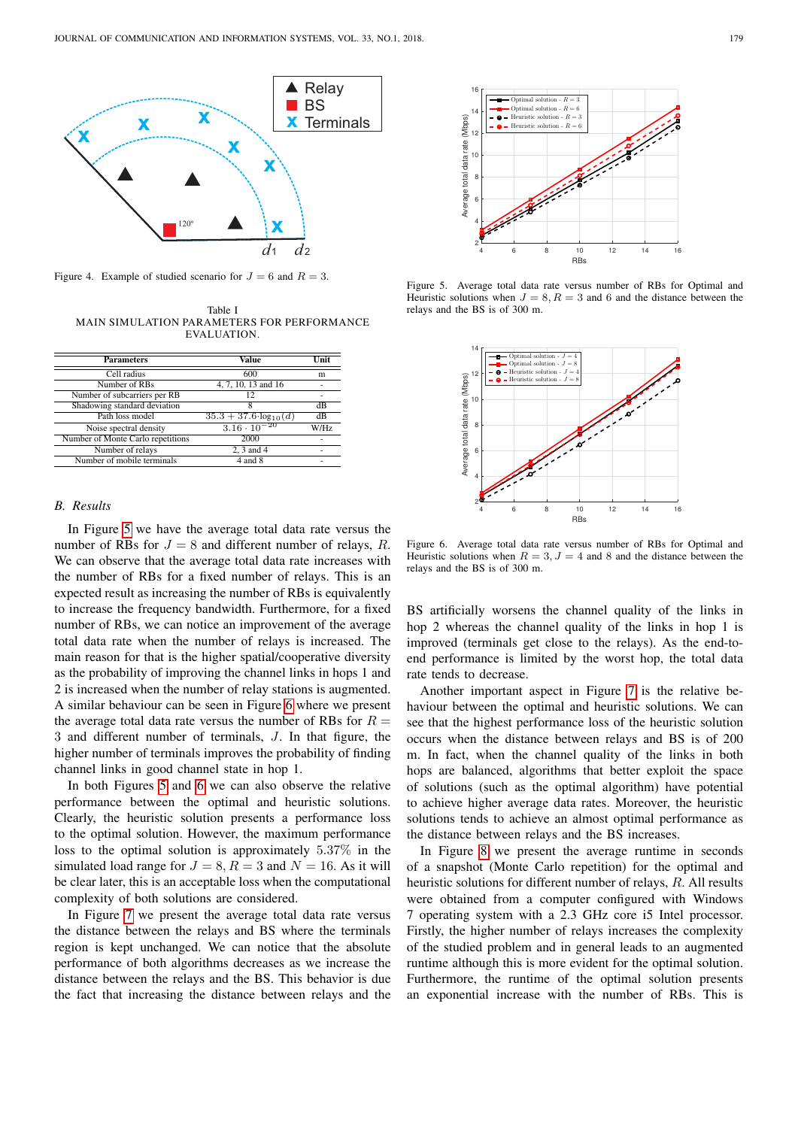

Figure 4. Example of studied scenario for  $J = 6$  and  $R = 3$ .

<span id="page-7-2"></span><span id="page-7-1"></span>Table I MAIN SIMULATION PARAMETERS FOR PERFORMANCE EVALUATION.

| <b>Parameters</b>                 | Value                            | Unit |
|-----------------------------------|----------------------------------|------|
| Cell radius                       | 600                              | m    |
| Number of RBs                     | 4, 7, 10, 13 and 16              |      |
| Number of subcarriers per RB      | 12                               | ۰    |
| Shadowing standard deviation      | 8                                | dВ   |
| Path loss model                   | $35.3 + 37.6 \cdot \log_{10}(d)$ | dВ   |
| Noise spectral density            | $3.16 \cdot 10^{-20}$            | W/Hz |
| Number of Monte Carlo repetitions | 2000                             |      |
| Number of relays                  | 2.3 and 4                        |      |
| Number of mobile terminals        | 4 and 8                          | ۰    |

#### <span id="page-7-0"></span>*B. Results*

In Figure [5](#page-7-3) we have the average total data rate versus the number of RBs for  $J = 8$  and different number of relays, R. We can observe that the average total data rate increases with the number of RBs for a fixed number of relays. This is an expected result as increasing the number of RBs is equivalently to increase the frequency bandwidth. Furthermore, for a fixed number of RBs, we can notice an improvement of the average total data rate when the number of relays is increased. The main reason for that is the higher spatial/cooperative diversity as the probability of improving the channel links in hops 1 and 2 is increased when the number of relay stations is augmented. A similar behaviour can be seen in Figure [6](#page-7-4) where we present the average total data rate versus the number of RBs for  $R =$ 3 and different number of terminals, J. In that figure, the higher number of terminals improves the probability of finding channel links in good channel state in hop 1.

In both Figures [5](#page-7-3) and [6](#page-7-4) we can also observe the relative performance between the optimal and heuristic solutions. Clearly, the heuristic solution presents a performance loss to the optimal solution. However, the maximum performance loss to the optimal solution is approximately 5.37% in the simulated load range for  $J = 8, R = 3$  and  $N = 16$ . As it will be clear later, this is an acceptable loss when the computational complexity of both solutions are considered.

In Figure [7](#page-8-0) we present the average total data rate versus the distance between the relays and BS where the terminals region is kept unchanged. We can notice that the absolute performance of both algorithms decreases as we increase the distance between the relays and the BS. This behavior is due the fact that increasing the distance between relays and the



<span id="page-7-3"></span>Figure 5. Average total data rate versus number of RBs for Optimal and Heuristic solutions when  $J = 8, R = 3$  and 6 and the distance between the relays and the BS is of 300 m.



<span id="page-7-4"></span>Figure 6. Average total data rate versus number of RBs for Optimal and Heuristic solutions when  $R = 3, J = 4$  and 8 and the distance between the relays and the BS is of 300 m.

BS artificially worsens the channel quality of the links in hop 2 whereas the channel quality of the links in hop 1 is improved (terminals get close to the relays). As the end-toend performance is limited by the worst hop, the total data rate tends to decrease.

Another important aspect in Figure [7](#page-8-0) is the relative behaviour between the optimal and heuristic solutions. We can see that the highest performance loss of the heuristic solution occurs when the distance between relays and BS is of 200 m. In fact, when the channel quality of the links in both hops are balanced, algorithms that better exploit the space of solutions (such as the optimal algorithm) have potential to achieve higher average data rates. Moreover, the heuristic solutions tends to achieve an almost optimal performance as the distance between relays and the BS increases.

In Figure [8](#page-8-1) we present the average runtime in seconds of a snapshot (Monte Carlo repetition) for the optimal and heuristic solutions for different number of relays, R. All results were obtained from a computer configured with Windows 7 operating system with a 2.3 GHz core i5 Intel processor. Firstly, the higher number of relays increases the complexity of the studied problem and in general leads to an augmented runtime although this is more evident for the optimal solution. Furthermore, the runtime of the optimal solution presents an exponential increase with the number of RBs. This is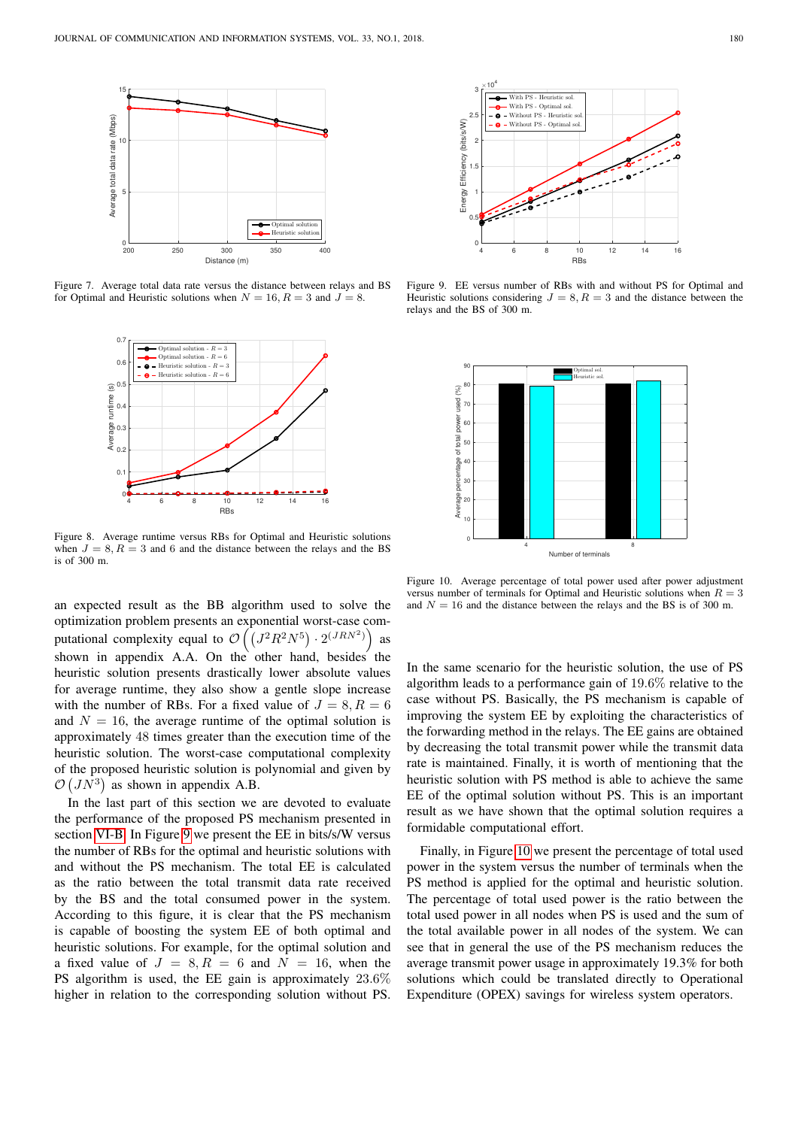

<span id="page-8-0"></span>Figure 7. Average total data rate versus the distance between relays and BS for Optimal and Heuristic solutions when  $N = 16$ ,  $R = 3$  and  $J = 8$ .



<span id="page-8-1"></span>Figure 8. Average runtime versus RBs for Optimal and Heuristic solutions when  $J = 8, R = 3$  and 6 and the distance between the relays and the BS is of 300 m.

an expected result as the BB algorithm used to solve the optimization problem presents an exponential worst-case computational complexity equal to  $\mathcal{O}\left(\left(J^2R^2N^5\right) \cdot 2^{(JRN^2)}\right)$  as shown in appendix  $A.A.$  On the other hand, besides the heuristic solution presents drastically lower absolute values for average runtime, they also show a gentle slope increase with the number of RBs. For a fixed value of  $J = 8, R = 6$ and  $N = 16$ , the average runtime of the optimal solution is approximately 48 times greater than the execution time of the heuristic solution. The worst-case computational complexity of the proposed heuristic solution is polynomial and given by  $\mathcal{O}(J N^3)$  as shown in appendix A.B.

In the last part of this section we are devoted to evaluate the performance of the proposed PS mechanism presented in section [VI-B.](#page-4-2) In Figure [9](#page-8-2) we present the EE in bits/s/W versus the number of RBs for the optimal and heuristic solutions with and without the PS mechanism. The total EE is calculated as the ratio between the total transmit data rate received by the BS and the total consumed power in the system. According to this figure, it is clear that the PS mechanism is capable of boosting the system EE of both optimal and heuristic solutions. For example, for the optimal solution and a fixed value of  $J = 8, R = 6$  and  $N = 16$ , when the PS algorithm is used, the EE gain is approximately 23.6% higher in relation to the corresponding solution without PS.



<span id="page-8-2"></span>Figure 9. EE versus number of RBs with and without PS for Optimal and Heuristic solutions considering  $J = 8, R = 3$  and the distance between the relays and the BS of 300 m.



<span id="page-8-3"></span>Figure 10. Average percentage of total power used after power adjustment versus number of terminals for Optimal and Heuristic solutions when  $R = 3$ and  $N = 16$  and the distance between the relays and the BS is of 300 m.

In the same scenario for the heuristic solution, the use of PS algorithm leads to a performance gain of 19.6% relative to the case without PS. Basically, the PS mechanism is capable of improving the system EE by exploiting the characteristics of the forwarding method in the relays. The EE gains are obtained by decreasing the total transmit power while the transmit data rate is maintained. Finally, it is worth of mentioning that the heuristic solution with PS method is able to achieve the same EE of the optimal solution without PS. This is an important result as we have shown that the optimal solution requires a formidable computational effort.

Finally, in Figure [10](#page-8-3) we present the percentage of total used power in the system versus the number of terminals when the PS method is applied for the optimal and heuristic solution. The percentage of total used power is the ratio between the total used power in all nodes when PS is used and the sum of the total available power in all nodes of the system. We can see that in general the use of the PS mechanism reduces the average transmit power usage in approximately 19.3% for both solutions which could be translated directly to Operational Expenditure (OPEX) savings for wireless system operators.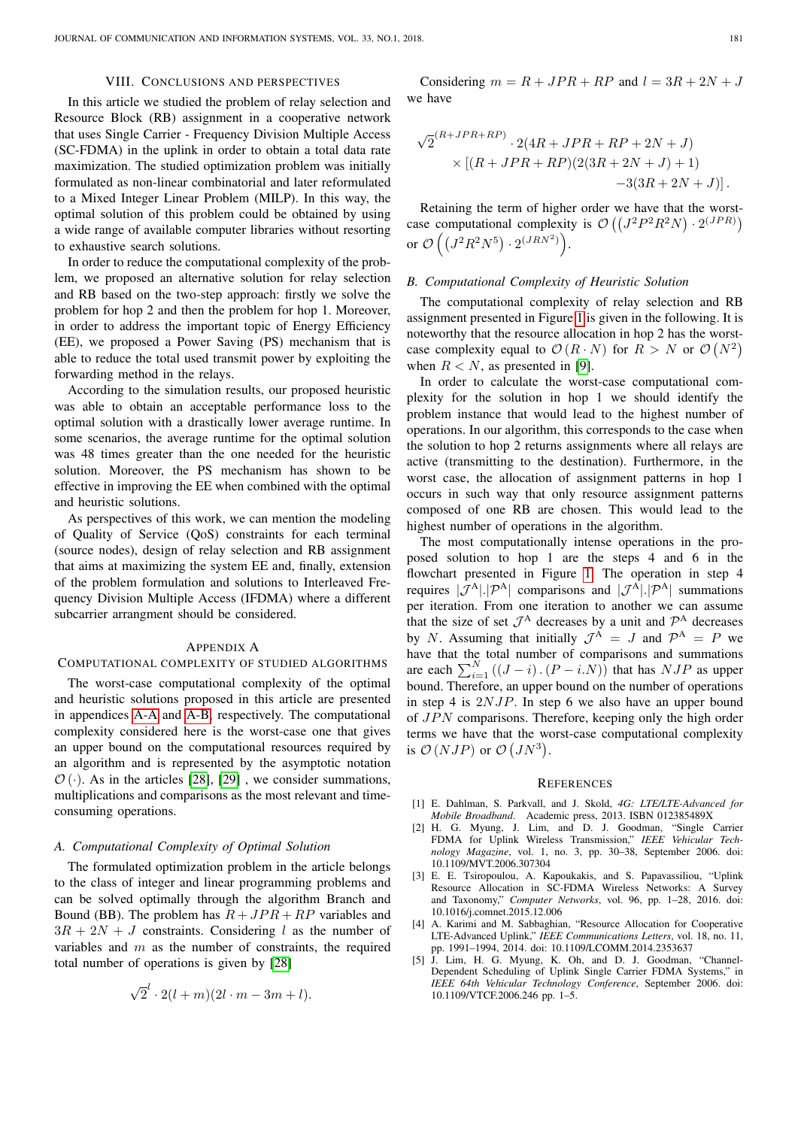# VIII. CONCLUSIONS AND PERSPECTIVES

<span id="page-9-4"></span>In this article we studied the problem of relay selection and Resource Block (RB) assignment in a cooperative network that uses Single Carrier - Frequency Division Multiple Access (SC-FDMA) in the uplink in order to obtain a total data rate maximization. The studied optimization problem was initially formulated as non-linear combinatorial and later reformulated to a Mixed Integer Linear Problem (MILP). In this way, the optimal solution of this problem could be obtained by using a wide range of available computer libraries without resorting to exhaustive search solutions.

In order to reduce the computational complexity of the problem, we proposed an alternative solution for relay selection and RB based on the two-step approach: firstly we solve the problem for hop 2 and then the problem for hop 1. Moreover, in order to address the important topic of Energy Efficiency (EE), we proposed a Power Saving (PS) mechanism that is able to reduce the total used transmit power by exploiting the forwarding method in the relays.

According to the simulation results, our proposed heuristic was able to obtain an acceptable performance loss to the optimal solution with a drastically lower average runtime. In some scenarios, the average runtime for the optimal solution was 48 times greater than the one needed for the heuristic solution. Moreover, the PS mechanism has shown to be effective in improving the EE when combined with the optimal and heuristic solutions.

As perspectives of this work, we can mention the modeling of Quality of Service (QoS) constraints for each terminal (source nodes), design of relay selection and RB assignment that aims at maximizing the system EE and, finally, extension of the problem formulation and solutions to Interleaved Frequency Division Multiple Access (IFDMA) where a different subcarrier arrangment should be considered.

#### APPENDIX A

# COMPUTATIONAL COMPLEXITY OF STUDIED ALGORITHMS

The worst-case computational complexity of the optimal and heuristic solutions proposed in this article are presented in appendices [A-A](#page-9-6) and [A-B,](#page-9-7) respectively. The computational complexity considered here is the worst-case one that gives an upper bound on the computational resources required by an algorithm and is represented by the asymptotic notation  $\mathcal{O}(\cdot)$ . As in the articles [\[28\]](#page-10-22), [\[29\]](#page-10-23), we consider summations, multiplications and comparisons as the most relevant and timeconsuming operations.

## <span id="page-9-6"></span>*A. Computational Complexity of Optimal Solution*

The formulated optimization problem in the article belongs to the class of integer and linear programming problems and can be solved optimally through the algorithm Branch and Bound (BB). The problem has  $R + JPR + RP$  variables and  $3R + 2N + J$  constraints. Considering l as the number of variables and  $m$  as the number of constraints, the required total number of operations is given by [\[28\]](#page-10-22)

$$
\sqrt{2}^l \cdot 2(l+m)(2l \cdot m-3m+l).
$$

Considering  $m = R + JPR + RP$  and  $l = 3R + 2N + J$ we have

$$
\sqrt{2}^{(R+JPR+RP)} \cdot 2(4R+JPR+RP+2N+J) \times [(R+JPR+RP)(2(3R+2N+J)+1) \n-3(3R+2N+J)].
$$

Retaining the term of higher order we have that the worstcase computational complexity is  $\mathcal{O}((J^2P^2R^2N) \cdot 2^{(JPR)})$ or  $\mathcal{O}\left(\left(J^2R^2N^5\right)\cdot 2^{(JRN^2)}\right)$ .

## <span id="page-9-7"></span>*B. Computational Complexity of Heuristic Solution*

The computational complexity of relay selection and RB assignment presented in Figure [1](#page-5-0) is given in the following. It is noteworthy that the resource allocation in hop 2 has the worstcase complexity equal to  $\mathcal{O}(R \cdot N)$  for  $R > N$  or  $\mathcal{O}(N^2)$ when  $R < N$ , as presented in [\[9\]](#page-10-3).

In order to calculate the worst-case computational complexity for the solution in hop 1 we should identify the problem instance that would lead to the highest number of operations. In our algorithm, this corresponds to the case when the solution to hop 2 returns assignments where all relays are active (transmitting to the destination). Furthermore, in the worst case, the allocation of assignment patterns in hop 1 occurs in such way that only resource assignment patterns composed of one RB are chosen. This would lead to the highest number of operations in the algorithm.

The most computationally intense operations in the proposed solution to hop 1 are the steps 4 and 6 in the flowchart presented in Figure [1.](#page-5-0) The operation in step 4 requires  $|\mathcal{J}^{A}| |\mathcal{P}^{A}|$  comparisons and  $|\mathcal{J}^{A}| |\mathcal{P}^{A}|$  summations per iteration. From one iteration to another we can assume that the size of set  $\mathcal{J}^A$  decreases by a unit and  $\mathcal{P}^A$  decreases by N. Assuming that initially  $\mathcal{J}^A = J$  and  $\mathcal{P}^A = P$  we have that the total number of comparisons and summations are each  $\sum_{i=1}^{N} ((J - i) \cdot (P - i \cdot N))$  that has  $NJP$  as upper bound. Therefore, an upper bound on the number of operations in step 4 is  $2NJP$ . In step 6 we also have an upper bound of  $JPN$  comparisons. Therefore, keeping only the high order terms we have that the worst-case computational complexity is  $\mathcal{O}(NJP)$  or  $\mathcal{O}(JN^3)$ .

#### **REFERENCES**

- <span id="page-9-0"></span>[1] E. Dahlman, S. Parkvall, and J. Skold, *4G: LTE/LTE-Advanced for Mobile Broadband*. Academic press, 2013. ISBN 012385489X
- <span id="page-9-1"></span> $[2]$  H. G. Myung, J. Lim, and D. J. Goodman, FDMA for Uplink Wireless Transmission," *IEEE Vehicular Technology Magazine*, vol. 1, no. 3, pp. 30–38, September 2006. doi: 10.1109/MVT.2006.307304
- <span id="page-9-2"></span>[3] E. E. Tsiropoulou, A. Kapoukakis, and S. Papavassiliou, "Uplink Resource Allocation in SC-FDMA Wireless Networks: A Survey and Taxonomy," *Computer Networks*, vol. 96, pp. 1–28, 2016. doi: 10.1016/j.comnet.2015.12.006
- <span id="page-9-3"></span>[4] A. Karimi and M. Sabbaghian, "Resource Allocation for Cooperative LTE-Advanced Uplink," *IEEE Communications Letters*, vol. 18, no. 11, pp. 1991–1994, 2014. doi: 10.1109/LCOMM.2014.2353637
- <span id="page-9-5"></span>[5] J. Lim, H. G. Myung, K. Oh, and D. J. Goodman, "Channel-Dependent Scheduling of Uplink Single Carrier FDMA Systems," in *IEEE 64th Vehicular Technology Conference*, September 2006. doi: 10.1109/VTCF.2006.246 pp. 1–5.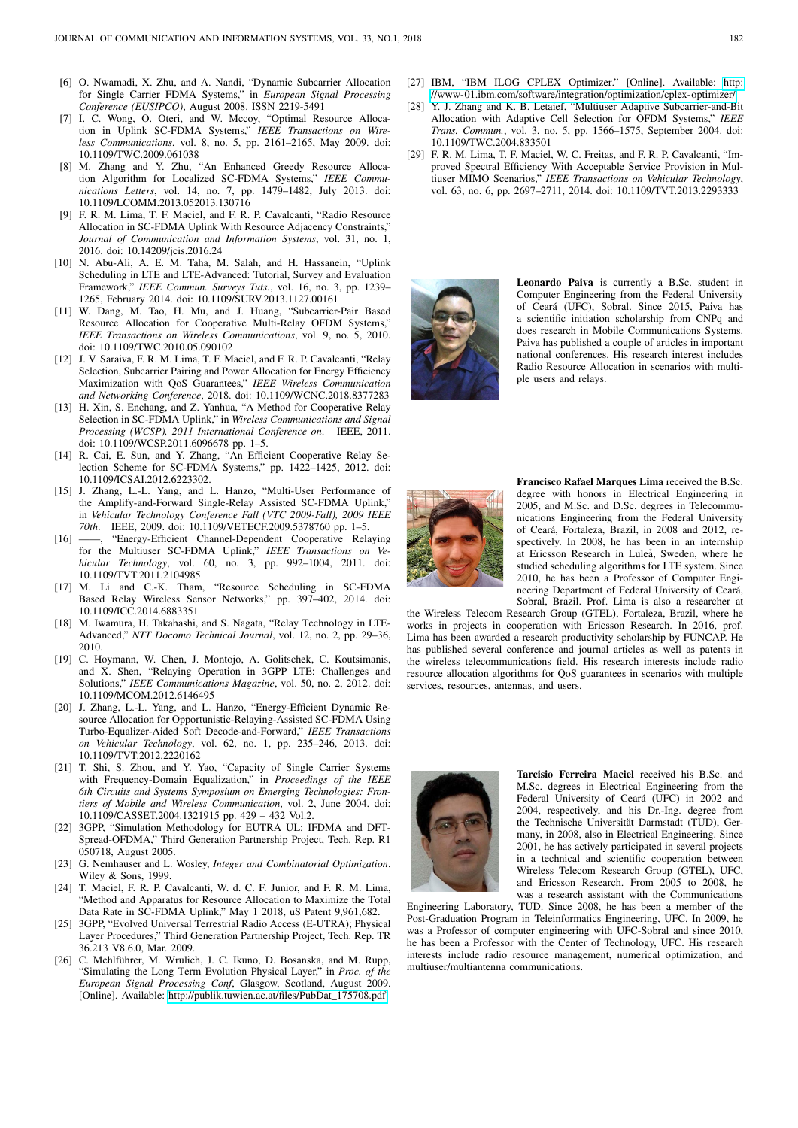- <span id="page-10-0"></span>[6] O. Nwamadi, X. Zhu, and A. Nandi, "Dynamic Subcarrier Allocation for Single Carrier FDMA Systems," in *European Signal Processing Conference (EUSIPCO)*, August 2008. ISSN 2219-5491
- <span id="page-10-1"></span>[7] I. C. Wong, O. Oteri, and W. Mccoy, "Optimal Resource Allocation in Uplink SC-FDMA Systems," *IEEE Transactions on Wireless Communications*, vol. 8, no. 5, pp. 2161–2165, May 2009. doi: 10.1109/TWC.2009.061038
- <span id="page-10-2"></span>[8] M. Zhang and Y. Zhu, "An Enhanced Greedy Resource Allocation Algorithm for Localized SC-FDMA Systems," *IEEE Communications Letters*, vol. 14, no. 7, pp. 1479–1482, July 2013. doi: 10.1109/LCOMM.2013.052013.130716
- <span id="page-10-3"></span>[9] F. R. M. Lima, T. F. Maciel, and F. R. P. Cavalcanti, "Radio Resource Allocation in SC-FDMA Uplink With Resource Adjacency Constraints,' *Journal of Communication and Information Systems*, vol. 31, no. 1, 2016. doi: 10.14209/jcis.2016.24
- <span id="page-10-4"></span>[10] N. Abu-Ali, A. E. M. Taha, M. Salah, and H. Hassanein, "Uplink Scheduling in LTE and LTE-Advanced: Tutorial, Survey and Evaluation Framework," *IEEE Commun. Surveys Tuts.*, vol. 16, no. 3, pp. 1239– 1265, February 2014. doi: 10.1109/SURV.2013.1127.00161
- <span id="page-10-5"></span>[11] W. Dang, M. Tao, H. Mu, and J. Huang, "Subcarrier-Pair Based Resource Allocation for Cooperative Multi-Relay OFDM Systems, *IEEE Transactions on Wireless Communications*, vol. 9, no. 5, 2010. doi: 10.1109/TWC.2010.05.090102
- <span id="page-10-6"></span>[12] J. V. Saraiva, F. R. M. Lima, T. F. Maciel, and F. R. P. Cavalcanti, "Relay Selection, Subcarrier Pairing and Power Allocation for Energy Efficiency Maximization with QoS Guarantees," *IEEE Wireless Communication and Networking Conference*, 2018. doi: 10.1109/WCNC.2018.8377283
- <span id="page-10-7"></span>[13] H. Xin, S. Enchang, and Z. Yanhua, "A Method for Cooperative Relay Selection in SC-FDMA Uplink," in *Wireless Communications and Signal Processing (WCSP), 2011 International Conference on*. IEEE, 2011. doi: 10.1109/WCSP.2011.6096678 pp. 1–5.
- <span id="page-10-9"></span>[14] R. Cai, E. Sun, and Y. Zhang, "An Efficient Cooperative Relay Selection Scheme for SC-FDMA Systems," pp. 1422–1425, 2012. doi: 10.1109/ICSAI.2012.6223302.
- <span id="page-10-10"></span>[15] J. Zhang, L.-L. Yang, and L. Hanzo, "Multi-User Performance of the Amplify-and-Forward Single-Relay Assisted SC-FDMA Uplink," in *Vehicular Technology Conference Fall (VTC 2009-Fall), 2009 IEEE 70th*. IEEE, 2009. doi: 10.1109/VETECF.2009.5378760 pp. 1–5.
- <span id="page-10-11"></span>[16] -, "Energy-Efficient Channel-Dependent Cooperative Relaying for the Multiuser SC-FDMA Uplink," *IEEE Transactions on Vehicular Technology*, vol. 60, no. 3, pp. 992–1004, 2011. doi: 10.1109/TVT.2011.2104985
- <span id="page-10-8"></span>[17] M. Li and C.-K. Tham, "Resource Scheduling in SC-FDMA Based Relay Wireless Sensor Networks," pp. 397–402, 2014. doi: 10.1109/ICC.2014.6883351
- <span id="page-10-12"></span>[18] M. Iwamura, H. Takahashi, and S. Nagata, "Relay Technology in LTE-Advanced," *NTT Docomo Technical Journal*, vol. 12, no. 2, pp. 29–36, 2010.
- <span id="page-10-13"></span>[19] C. Hoymann, W. Chen, J. Montojo, A. Golitschek, C. Koutsimanis, and X. Shen, "Relaying Operation in 3GPP LTE: Challenges and Solutions," *IEEE Communications Magazine*, vol. 50, no. 2, 2012. doi: 10.1109/MCOM.2012.6146495
- <span id="page-10-14"></span>[20] J. Zhang, L.-L. Yang, and L. Hanzo, "Energy-Efficient Dynamic Resource Allocation for Opportunistic-Relaying-Assisted SC-FDMA Using Turbo-Equalizer-Aided Soft Decode-and-Forward," *IEEE Transactions on Vehicular Technology*, vol. 62, no. 1, pp. 235–246, 2013. doi: 10.1109/TVT.2012.2220162
- <span id="page-10-15"></span>[21] T. Shi, S. Zhou, and Y. Yao, "Capacity of Single Carrier Systems with Frequency-Domain Equalization," in *Proceedings of the IEEE 6th Circuits and Systems Symposium on Emerging Technologies: Frontiers of Mobile and Wireless Communication*, vol. 2, June 2004. doi: 10.1109/CASSET.2004.1321915 pp. 429 – 432 Vol.2.
- <span id="page-10-16"></span>[22] 3GPP, "Simulation Methodology for EUTRA UL: IFDMA and DFT-Spread-OFDMA," Third Generation Partnership Project, Tech. Rep. R1 050718, August 2005.
- <span id="page-10-17"></span>[23] G. Nemhauser and L. Wosley, *Integer and Combinatorial Optimization*. Wiley & Sons, 1999.
- <span id="page-10-18"></span>[24] T. Maciel, F. R. P. Cavalcanti, W. d. C. F. Junior, and F. R. M. Lima, "Method and Apparatus for Resource Allocation to Maximize the Total Data Rate in SC-FDMA Uplink," May 1 2018, uS Patent 9,961,682.
- <span id="page-10-19"></span>[25] 3GPP, "Evolved Universal Terrestrial Radio Access (E-UTRA); Physical Layer Procedures," Third Generation Partnership Project, Tech. Rep. TR 36.213 V8.6.0, Mar. 2009.
- <span id="page-10-20"></span>[26] C. Mehlführer, M. Wrulich, J. C. Ikuno, D. Bosanska, and M. Rupp, "Simulating the Long Term Evolution Physical Layer," in *Proc. of the European Signal Processing Conf*, Glasgow, Scotland, August 2009. [Online]. Available: [http://publik.tuwien.ac.at/files/PubDat\\_175708.pdf](http://publik.tuwien.ac.at/files/PubDat_175708.pdf)
- <span id="page-10-21"></span>[27] IBM, "IBM ILOG CPLEX Optimizer." [Online]. Available: [http:](http://www-01.ibm.com/software/integration/optimization/cplex-optimizer/) [//www-01.ibm.com/software/integration/optimization/cplex-optimizer/](http://www-01.ibm.com/software/integration/optimization/cplex-optimizer/)
- <span id="page-10-22"></span>[28] Y. J. Zhang and K. B. Letaief, "Multiuser Adaptive Subcarrier-and-Bit Allocation with Adaptive Cell Selection for OFDM Systems," *IEEE Trans. Commun.*, vol. 3, no. 5, pp. 1566–1575, September 2004. doi: 10.1109/TWC.2004.833501
- <span id="page-10-23"></span>[29] F. R. M. Lima, T. F. Maciel, W. C. Freitas, and F. R. P. Cavalcanti, "Improved Spectral Efficiency With Acceptable Service Provision in Multiuser MIMO Scenarios," *IEEE Transactions on Vehicular Technology*, vol. 63, no. 6, pp. 2697–2711, 2014. doi: 10.1109/TVT.2013.2293333



Leonardo Paiva is currently a B.Sc. student in Computer Engineering from the Federal University of Ceará (UFC), Sobral. Since 2015, Paiva has a scientific initiation scholarship from CNPq and does research in Mobile Communications Systems. Paiva has published a couple of articles in important national conferences. His research interest includes Radio Resource Allocation in scenarios with multiple users and relays.



Francisco Rafael Marques Lima received the B.Sc. degree with honors in Electrical Engineering in 2005, and M.Sc. and D.Sc. degrees in Telecommunications Engineering from the Federal University of Ceará, Fortaleza, Brazil, in 2008 and 2012, respectively. In 2008, he has been in an internship at Ericsson Research in Luleå, Sweden, where he studied scheduling algorithms for LTE system. Since 2010, he has been a Professor of Computer Engineering Department of Federal University of Ceará, Sobral, Brazil. Prof. Lima is also a researcher at

the Wireless Telecom Research Group (GTEL), Fortaleza, Brazil, where he works in projects in cooperation with Ericsson Research. In 2016, prof. Lima has been awarded a research productivity scholarship by FUNCAP. He has published several conference and journal articles as well as patents in the wireless telecommunications field. His research interests include radio resource allocation algorithms for QoS guarantees in scenarios with multiple services, resources, antennas, and users.



Tarcisio Ferreira Maciel received his B.Sc. and M.Sc. degrees in Electrical Engineering from the Federal University of Ceará (UFC) in 2002 and 2004, respectively, and his Dr.-Ing. degree from the Technische Universität Darmstadt (TUD), Germany, in 2008, also in Electrical Engineering. Since 2001, he has actively participated in several projects in a technical and scientific cooperation between Wireless Telecom Research Group (GTEL), UFC, and Ericsson Research. From 2005 to 2008, he was a research assistant with the Communications

Engineering Laboratory, TUD. Since 2008, he has been a member of the Post-Graduation Program in Teleinformatics Engineering, UFC. In 2009, he was a Professor of computer engineering with UFC-Sobral and since 2010, he has been a Professor with the Center of Technology, UFC. His research interests include radio resource management, numerical optimization, and multiuser/multiantenna communications.